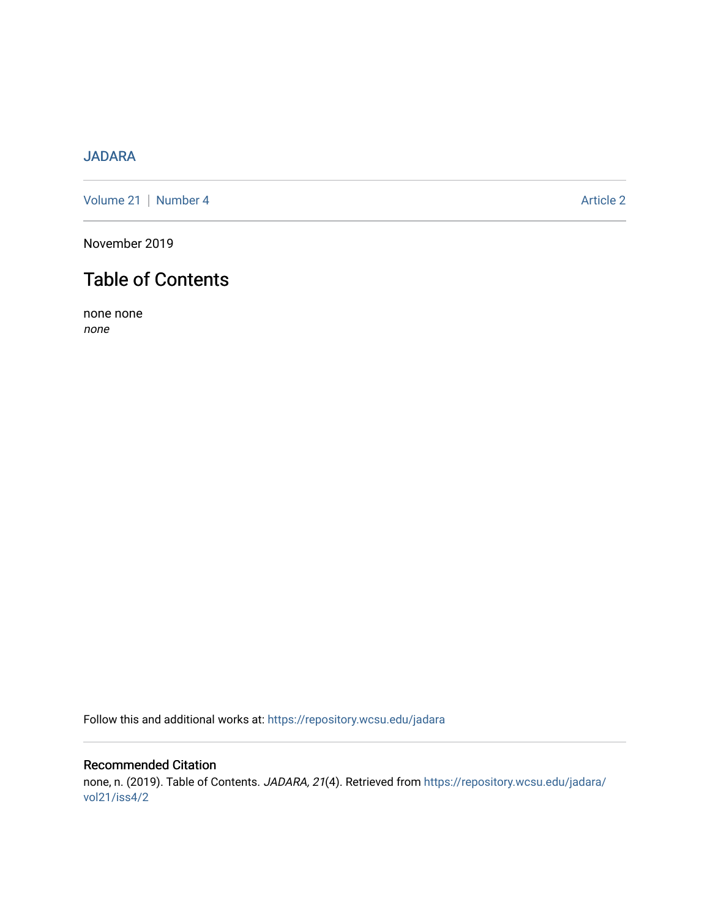# [JADARA](https://repository.wcsu.edu/jadara)

[Volume 21](https://repository.wcsu.edu/jadara/vol21) | [Number 4](https://repository.wcsu.edu/jadara/vol21/iss4) Article 2

November 2019

# Table of Contents

none none none

Follow this and additional works at: [https://repository.wcsu.edu/jadara](https://repository.wcsu.edu/jadara?utm_source=repository.wcsu.edu%2Fjadara%2Fvol21%2Fiss4%2F2&utm_medium=PDF&utm_campaign=PDFCoverPages)

# Recommended Citation none, n. (2019). Table of Contents. JADARA, 21(4). Retrieved from [https://repository.wcsu.edu/jadara/](https://repository.wcsu.edu/jadara/vol21/iss4/2?utm_source=repository.wcsu.edu%2Fjadara%2Fvol21%2Fiss4%2F2&utm_medium=PDF&utm_campaign=PDFCoverPages) [vol21/iss4/2](https://repository.wcsu.edu/jadara/vol21/iss4/2?utm_source=repository.wcsu.edu%2Fjadara%2Fvol21%2Fiss4%2F2&utm_medium=PDF&utm_campaign=PDFCoverPages)